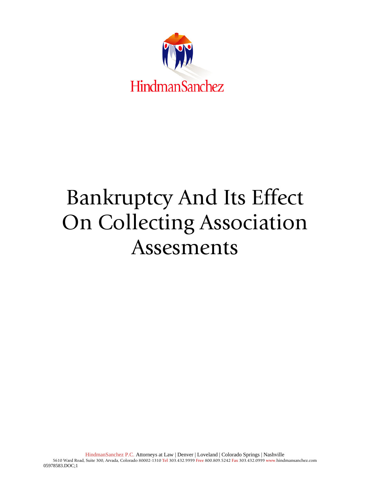

# Bankruptcy And Its Effect On Collecting Association Assesments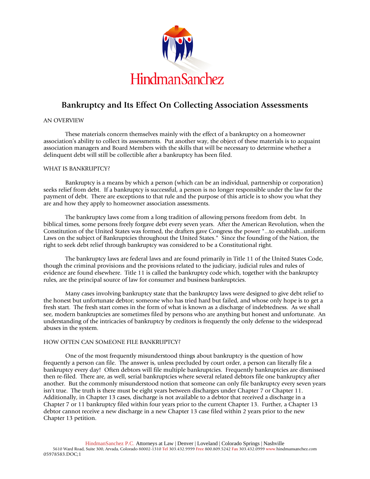

## **Bankruptcy and Its Effect On Collecting Association Assessments**

### AN OVERVIEW

These materials concern themselves mainly with the effect of a bankruptcy on a homeowner association's ability to collect its assessments. Put another way, the object of these materials is to acquaint association managers and Board Members with the skills that will be necessary to determine whether a delinquent debt will still be collectible after a bankruptcy has been filed.

### WHAT IS BANKRUPTCY?

Bankruptcy is a means by which a person (which can be an individual, partnership or corporation) seeks relief from debt. If a bankruptcy is successful, a person is no longer responsible under the law for the payment of debt. There are exceptions to that rule and the purpose of this article is to show you what they are and how they apply to homeowner association assessments.

The bankruptcy laws come from a long tradition of allowing persons freedom from debt. In biblical times, some persons freely forgave debt every seven years. After the American Revolution, when the Constitution of the United States was formed, the drafters gave Congress the power "...to establish...uniform Laws on the subject of Bankruptcies throughout the United States." Since the founding of the Nation, the right to seek debt relief through bankruptcy was considered to be a Constitutional right.

The bankruptcy laws are federal laws and are found primarily in Title 11 of the United States Code, though the criminal provisions and the provisions related to the judiciary, judicial rules and rules of evidence are found elsewhere. Title 11 is called the bankruptcy code which, together with the bankruptcy rules, are the principal source of law for consumer and business bankruptcies.

Many cases involving bankruptcy state that the bankruptcy laws were designed to give debt relief to the honest but unfortunate debtor; someone who has tried hard but failed, and whose only hope is to get a fresh start. The fresh start comes in the form of what is known as a discharge of indebtedness. As we shall see, modern bankruptcies are sometimes filed by persons who are anything but honest and unfortunate. An understanding of the intricacies of bankruptcy by creditors is frequently the only defense to the widespread abuses in the system.

#### HOW OFTEN CAN SOMEONE FILE BANKRUPTCY?

One of the most frequently misunderstood things about bankruptcy is the question of how frequently a person can file. The answer is, unless precluded by court order, a person can literally file a bankruptcy every day! Often debtors will file multiple bankruptcies. Frequently bankruptcies are dismissed then re-filed. There are, as well, serial bankruptcies where several related debtors file one bankruptcy after another. But the commonly misunderstood notion that someone can only file bankruptcy every seven years isn't true. The truth is there must be eight years between discharges under Chapter 7 or Chapter 11. Additionally, in Chapter 13 cases, discharge is not available to a debtor that received a discharge in a Chapter 7 or 11 bankruptcy filed within four years prior to the current Chapter 13. Further, a Chapter 13 debtor cannot receive a new discharge in a new Chapter 13 case filed within 2 years prior to the new Chapter 13 petition.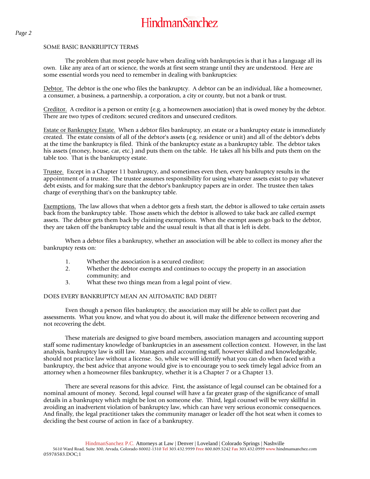#### SOME BASIC BANKRUPTCY TERMS

The problem that most people have when dealing with bankruptcies is that it has a language all its own. Like any area of art or science, the words at first seem strange until they are understood. Here are some essential words you need to remember in dealing with bankruptcies:

Debtor. The debtor is the one who files the bankruptcy. A debtor can be an individual, like a homeowner, a consumer, a business, a partnership, a corporation, a city or county, but not a bank or trust.

Creditor. A creditor is a person or entity (e.g. a homeowners association) that is owed money by the debtor. There are two types of creditors: secured creditors and unsecured creditors.

Estate or Bankruptcy Estate. When a debtor files bankruptcy, an estate or a bankruptcy estate is immediately created. The estate consists of all of the debtor's assets (e.g. residence or unit) and all of the debtor's debts at the time the bankruptcy is filed. Think of the bankruptcy estate as a bankruptcy table. The debtor takes his assets (money, house, car, etc.) and puts them on the table. He takes all his bills and puts them on the table too. That is the bankruptcy estate.

Trustee. Except in a Chapter 11 bankruptcy, and sometimes even then, every bankruptcy results in the appointment of a trustee. The trustee assumes responsibility for using whatever assets exist to pay whatever debt exists, and for making sure that the debtor's bankruptcy papers are in order. The trustee then takes charge of everything that's on the bankruptcy table.

Exemptions. The law allows that when a debtor gets a fresh start, the debtor is allowed to take certain assets back from the bankruptcy table. Those assets which the debtor is allowed to take back are called exempt assets. The debtor gets them back by claiming exemptions. When the exempt assets go back to the debtor, they are taken off the bankruptcy table and the usual result is that all that is left is debt.

When a debtor files a bankruptcy, whether an association will be able to collect its money after the bankruptcy rests on:

- 1. Whether the association is a secured creditor;
- 2. Whether the debtor exempts and continues to occupy the property in an association community; and
- 3. What these two things mean from a legal point of view.

### DOES EVERY BANKRUPTCY MEAN AN AUTOMATIC BAD DEBT?

Even though a person files bankruptcy, the association may still be able to collect past due assessments. What you know, and what you do about it, will make the difference between recovering and not recovering the debt.

These materials are designed to give board members, association managers and accounting support staff some rudimentary knowledge of bankruptcies in an assessment collection context. However, in the last analysis, bankruptcy law is still law. Managers and accounting staff, however skilled and knowledgeable, should not practice law without a license. So, while we will identify what you can do when faced with a bankruptcy, the best advice that anyone would give is to encourage you to seek timely legal advice from an attorney when a homeowner files bankruptcy, whether it is a Chapter 7 or a Chapter 13.

There are several reasons for this advice. First, the assistance of legal counsel can be obtained for a nominal amount of money. Second, legal counsel will have a far greater grasp of the significance of small details in a bankruptcy which might be lost on someone else. Third, legal counsel will be very skillful in avoiding an inadvertent violation of bankruptcy law, which can have very serious economic consequences. And finally, the legal practitioner takes the community manager or leader off the hot seat when it comes to deciding the best course of action in face of a bankruptcy.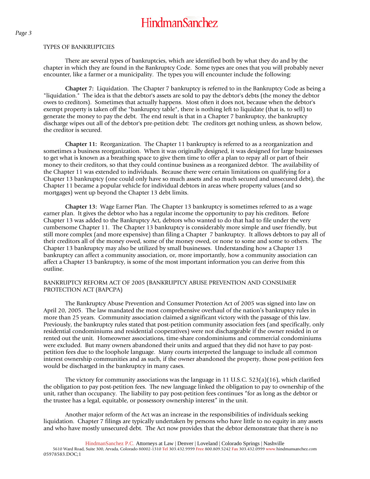#### TYPES OF BANKRUPTCIES

There are several types of bankruptcies, which are identified both by what they do and by the chapter in which they are found in the Bankruptcy Code. Some types are ones that you will probably never encounter, like a farmer or a municipality. The types you will encounter include the following:

**Chapter 7:** Liquidation. The Chapter 7 bankruptcy is referred to in the Bankruptcy Code as being a "liquidation." The idea is that the debtor's assets are sold to pay the debtor's debts (the money the debtor owes to creditors). Sometimes that actually happens. Most often it does not, because when the debtor's exempt property is taken off the "bankruptcy table", there is nothing left to liquidate (that is, to sell) to generate the money to pay the debt. The end result is that in a Chapter 7 bankruptcy, the bankruptcy discharge wipes out all of the debtor's pre-petition debt: The creditors get nothing unless, as shown below, the creditor is secured.

**Chapter 11:** Reorganization. The Chapter 11 bankruptcy is referred to as a reorganization and sometimes a business reorganization. When it was originally designed, it was designed for large businesses to get what is known as a breathing space to give them time to offer a plan to repay all or part of their money to their creditors, so that they could continue business as a reorganized debtor. The availability of the Chapter 11 was extended to individuals. Because there were certain limitations on qualifying for a Chapter 13 bankruptcy (one could only have so much assets and so much secured and unsecured debt), the Chapter 11 became a popular vehicle for individual debtors in areas where property values (and so mortgages) went up beyond the Chapter 13 debt limits.

**Chapter 13:** Wage Earner Plan. The Chapter 13 bankruptcy is sometimes referred to as a wage earner plan. It gives the debtor who has a regular income the opportunity to pay his creditors. Before Chapter 13 was added to the Bankruptcy Act, debtors who wanted to do that had to file under the very cumbersome Chapter 11. The Chapter 13 bankruptcy is considerably more simple and user friendly, but still more complex (and more expensive) than filing a Chapter 7 bankruptcy. It allows debtors to pay all of their creditors all of the money owed, some of the money owed, or none to some and some to others. The Chapter 13 bankruptcy may also be utilized by small businesses. Understanding how a Chapter 13 bankruptcy can affect a community association, or, more importantly, how a community association can affect a Chapter 13 bankruptcy, is some of the most important information you can derive from this outline.

### BANKRUPTCY REFORM ACT OF 2005 (BANKRUPTCY ABUSE PREVENTION AND CONSUMER PROTECTION ACT (BAPCPA)

The Bankruptcy Abuse Prevention and Consumer Protection Act of 2005 was signed into law on April 20, 2005. The law mandated the most comprehensive overhaul of the nation's bankruptcy rules in more than 25 years. Community association claimed a significant victory with the passage of this law. Previously, the bankruptcy rules stated that post-petition community association fees (and specifically, only residential condominiums and residential cooperatives) were not dischargeable if the owner resided in or rented out the unit. Homeowner associations, time-share condominiums and commercial condominiums were excluded. But many owners abandoned their units and argued that they did not have to pay postpetition fees due to the loophole language. Many courts interpreted the language to include all common interest ownership communities and as such, if the owner abandoned the property, those post-petition fees would be discharged in the bankruptcy in many cases.

The victory for community associations was the language in 11 U.S.C. 523(a)(16), which clarified the obligation to pay post-petition fees. The new language linked the obligation to pay to ownership of the unit, rather than occupancy. The liability to pay post-petition fees continues "for as long as the debtor or the trustee has a legal, equitable, or possessory ownership interest" in the unit.

Another major reform of the Act was an increase in the responsibilities of individuals seeking liquidation. Chapter 7 filings are typically undertaken by persons who have little to no equity in any assets and who have mostly unsecured debt. The Act now provides that the debtor demonstrate that there is no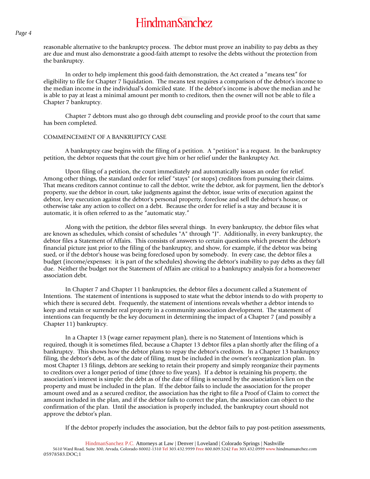reasonable alternative to the bankruptcy process. The debtor must prove an inability to pay debts as they are due and must also demonstrate a good-faith attempt to resolve the debts without the protection from the bankruptcy.

In order to help implement this good-faith demonstration, the Act created a "means test" for eligibility to file for Chapter 7 liquidation. The means test requires a comparison of the debtor's income to the median income in the individual's domiciled state. If the debtor's income is above the median and he is able to pay at least a minimal amount per month to creditors, then the owner will not be able to file a Chapter 7 bankruptcy.

Chapter 7 debtors must also go through debt counseling and provide proof to the court that same has been completed.

#### COMMENCEMENT OF A BANKRUPTCY CASE

A bankruptcy case begins with the filing of a petition. A "petition" is a request. In the bankruptcy petition, the debtor requests that the court give him or her relief under the Bankruptcy Act.

Upon filing of a petition, the court immediately and automatically issues an order for relief. Among other things, the standard order for relief "stays" (or stops) creditors from pursuing their claims. That means creditors cannot continue to call the debtor, write the debtor, ask for payment, lien the debtor's property, sue the debtor in court, take judgments against the debtor, issue writs of execution against the debtor, levy execution against the debtor's personal property, foreclose and sell the debtor's house, or otherwise take any action to collect on a debt. Because the order for relief is a stay and because it is automatic, it is often referred to as the "automatic stay."

Along with the petition, the debtor files several things. In every bankruptcy, the debtor files what are known as schedules, which consist of schedules "A" through "J". Additionally, in every bankruptcy, the debtor files a Statement of Affairs. This consists of answers to certain questions which present the debtor's financial picture just prior to the filing of the bankruptcy, and show, for example, if the debtor was being sued, or if the debtor's house was being foreclosed upon by somebody. In every case, the debtor files a budget (income/expenses: it is part of the schedules) showing the debtor's inability to pay debts as they fall due. Neither the budget nor the Statement of Affairs are critical to a bankruptcy analysis for a homeowner association debt.

In Chapter 7 and Chapter 11 bankruptcies, the debtor files a document called a Statement of Intentions. The statement of intentions is supposed to state what the debtor intends to do with property to which there is secured debt. Frequently, the statement of intentions reveals whether a debtor intends to keep and retain or surrender real property in a community association development. The statement of intentions can frequently be the key document in determining the impact of a Chapter 7 (and possibly a Chapter 11) bankruptcy.

In a Chapter 13 (wage earner repayment plan), there is no Statement of Intentions which is required, though it is sometimes filed, because a Chapter 13 debtor files a plan shortly after the filing of a bankruptcy. This shows how the debtor plans to repay the debtor's creditors. In a Chapter 13 bankruptcy filing, the debtor's debt, as of the date of filing, must be included in the owner's reorganization plan. In most Chapter 13 filings, debtors are seeking to retain their property and simply reorganize their payments to creditors over a longer period of time (three to five years). If a debtor is retaining his property, the association's interest is simple: the debt as of the date of filing is secured by the association's lien on the property and must be included in the plan. If the debtor fails to include the association for the proper amount owed and as a secured creditor, the association has the right to file a Proof of Claim to correct the amount included in the plan, and if the debtor fails to correct the plan, the association can object to the confirmation of the plan. Until the association is properly included, the bankruptcy court should not approve the debtor's plan.

If the debtor properly includes the association, but the debtor fails to pay post-petition assessments,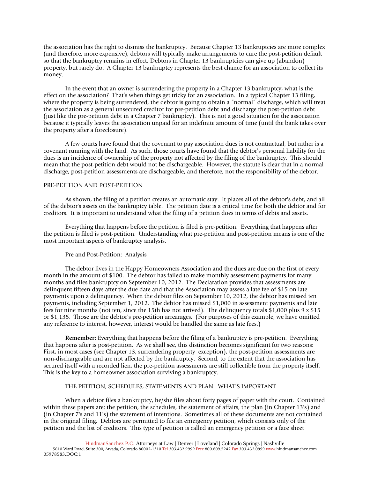the association has the right to dismiss the bankruptcy. Because Chapter 13 bankruptcies are more complex (and therefore, more expensive), debtors will typically make arrangements to cure the post-petition default so that the bankruptcy remains in effect. Debtors in Chapter 13 bankruptcies can give up (abandon) property, but rarely do. A Chapter 13 bankruptcy represents the best chance for an association to collect its money.

In the event that an owner is surrendering the property in a Chapter 13 bankruptcy, what is the effect on the association? That's when things get tricky for an association. In a typical Chapter 13 filing, where the property is being surrendered, the debtor is going to obtain a "normal" discharge, which will treat the association as a general unsecured creditor for pre-petition debt and discharge the post-petition debt (just like the pre-petition debt in a Chapter 7 bankruptcy). This is not a good situation for the association because it typically leaves the association unpaid for an indefinite amount of time (until the bank takes over the property after a foreclosure).

A few courts have found that the covenant to pay association dues is not contractual, but rather is a covenant running with the land. As such, those courts have found that the debtor's personal liability for the dues is an incidence of ownership of the property not affected by the filing of the bankruptcy. This should mean that the post-petition debt would not be dischargeable. However, the statute is clear that in a normal discharge, post-petition assessments are dischargeable, and therefore, not the responsibility of the debtor.

#### PRE-PETITION AND POST-PETITION

As shown, the filing of a petition creates an automatic stay. It places all of the debtor's debt, and all of the debtor's assets on the bankruptcy table. The petition date is a critical time for both the debtor and for creditors. It is important to understand what the filing of a petition does in terms of debts and assets.

Everything that happens before the petition is filed is pre-petition. Everything that happens after the petition is filed is post-petition. Understanding what pre-petition and post-petition means is one of the most important aspects of bankruptcy analysis.

#### Pre and Post-Petition: Analysis

The debtor lives in the Happy Homeowners Association and the dues are due on the first of every month in the amount of \$100. The debtor has failed to make monthly assessment payments for many months and files bankruptcy on September 10, 2012. The Declaration provides that assessments are delinquent fifteen days after the due date and that the Association may assess a late fee of \$15 on late payments upon a delinquency. When the debtor files on September 10, 2012, the debtor has missed ten payments, including September 1, 2012. The debtor has missed \$1,000 in assessment payments and late fees for nine months (not ten, since the 15th has not arrived). The delinquency totals \$1,000 plus 9 x \$15 or \$1,135. Those are the debtor's pre-petition arrearages. (For purposes of this example, we have omitted any reference to interest, however, interest would be handled the same as late fees.)

**Remember:** Everything that happens before the filing of a bankruptcy is pre-petition. Everything that happens after is post-petition. As we shall see, this distinction becomes significant for two reasons: First, in most cases (see Chapter 13, surrendering property exception), the post-petition assessments are non-dischargeable and are not affected by the bankruptcy. Second, to the extent that the association has secured itself with a recorded lien, the pre-petition assessments are still collectible from the property itself. This is the key to a homeowner association surviving a bankruptcy.

#### THE PETITION, SCHEDULES, STATEMENTS AND PLAN: WHAT'S IMPORTANT

When a debtor files a bankruptcy, he/she files about forty pages of paper with the court. Contained within these papers are: the petition, the schedules, the statement of affairs, the plan (in Chapter 13's) and (in Chapter 7's and 11's) the statement of intentions. Sometimes all of these documents are not contained in the original filing. Debtors are permitted to file an emergency petition, which consists only of the petition and the list of creditors. This type of petition is called an emergency petition or a face sheet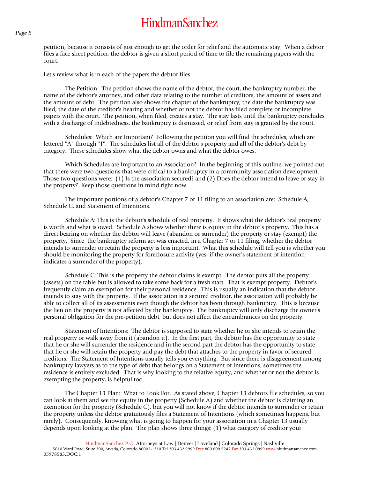petition, because it consists of just enough to get the order for relief and the automatic stay. When a debtor files a face sheet petition, the debtor is given a short period of time to file the remaining papers with the court.

Let's review what is in each of the papers the debtor files:

The Petition: The petition shows the name of the debtor, the court, the bankruptcy number, the name of the debtor's attorney, and other data relating to the number of creditors, the amount of assets and the amount of debt. The petition also shows the chapter of the bankruptcy, the date the bankruptcy was filed, the date of the creditor's hearing and whether or not the debtor has filed complete or incomplete papers with the court. The petition, when filed, creates a stay. The stay lasts until the bankruptcy concludes with a discharge of indebtedness, the bankruptcy is dismissed, or relief from stay is granted by the court.

Schedules: Which are Important? Following the petition you will find the schedules, which are lettered "A" through "J". The schedules list all of the debtor's property and all of the debtor's debt by category. These schedules show what the debtor owns and what the debtor owes.

Which Schedules are Important to an Association? In the beginning of this outline, we pointed out that there were two questions that were critical to a bankruptcy in a community association development. Those two questions were: (1) Is the association secured? and (2) Does the debtor intend to leave or stay in the property? Keep those questions in mind right now.

The important portions of a debtor's Chapter 7 or 11 filing to an association are: Schedule A, Schedule C, and Statement of Intentions.

Schedule A: This is the debtor's schedule of real property. It shows what the debtor's real property is worth and what is owed. Schedule A shows whether there is equity in the debtor's property. This has a direct bearing on whether the debtor will leave (abandon or surrender) the property or stay (exempt) the property. Since the bankruptcy reform act was enacted, in a Chapter 7 or 11 filing, whether the debtor intends to surrender or retain the property is less important. What this schedule will tell you is whether you should be monitoring the property for foreclosure activity (yes, if the owner's statement of intention indicates a surrender of the property).

Schedule C: This is the property the debtor claims is exempt. The debtor puts all the property (assets) on the table but is allowed to take some back for a fresh start. That is exempt property. Debtor's frequently claim an exemption for their personal residence. This is usually an indication that the debtor intends to stay with the property. If the association is a secured creditor, the association will probably be able to collect all of its assessments even though the debtor has been through bankruptcy. This is because the lien on the property is not affected by the bankruptcy. The bankruptcy will only discharge the owner's personal obligation for the pre-petition debt, but does not affect the encumbrances on the property.

Statement of Intentions: The debtor is supposed to state whether he or she intends to retain the real property or walk away from it (abandon it). In the first part, the debtor has the opportunity to state that he or she will surrender the residence and in the second part the debtor has the opportunity to state that he or she will retain the property and pay the debt that attaches to the property in favor of secured creditors. The Statement of Intentions usually tells you everything. But since there is disagreement among bankruptcy lawyers as to the type of debt that belongs on a Statement of Intentions, sometimes the residence is entirely excluded. That is why looking to the relative equity, and whether or not the debtor is exempting the property, is helpful too.

The Chapter 13 Plan: What to Look For. As stated above, Chapter 13 debtors file schedules, so you can look at them and see the equity in the property (Schedule A) and whether the debtor is claiming an exemption for the property (Schedule C), but you will not know if the debtor intends to surrender or retain the property unless the debtor gratuitously files a Statement of Intentions (which sometimes happens, but rarely). Consequently, knowing what is going to happen for your association in a Chapter 13 usually depends upon looking at the plan. The plan shows three things: (1) what category of creditor your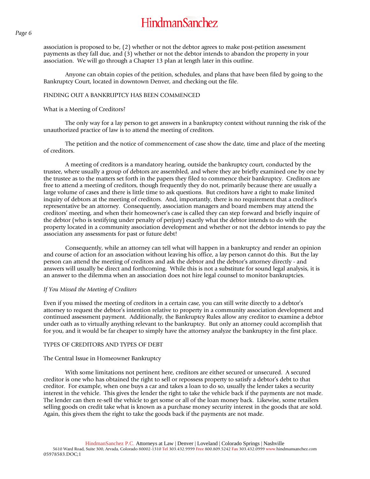association is proposed to be, (2) whether or not the debtor agrees to make post-petition assessment payments as they fall due, and (3) whether or not the debtor intends to abandon the property in your association. We will go through a Chapter 13 plan at length later in this outline.

Anyone can obtain copies of the petition, schedules, and plans that have been filed by going to the Bankruptcy Court, located in downtown Denver, and checking out the file.

#### FINDING OUT A BANKRUPTCY HAS BEEN COMMENCED

### What is a Meeting of Creditors?

The only way for a lay person to get answers in a bankruptcy context without running the risk of the unauthorized practice of law is to attend the meeting of creditors.

The petition and the notice of commencement of case show the date, time and place of the meeting of creditors.

A meeting of creditors is a mandatory hearing, outside the bankruptcy court, conducted by the trustee, where usually a group of debtors are assembled, and where they are briefly examined one by one by the trustee as to the matters set forth in the papers they filed to commence their bankruptcy. Creditors are free to attend a meeting of creditors, though frequently they do not, primarily because there are usually a large volume of cases and there is little time to ask questions. But creditors have a right to make limited inquiry of debtors at the meeting of creditors. And, importantly, there is no requirement that a creditor's representative be an attorney. Consequently, association managers and board members may attend the creditors' meeting, and when their homeowner's case is called they can step forward and briefly inquire of the debtor (who is testifying under penalty of perjury) exactly what the debtor intends to do with the property located in a community association development and whether or not the debtor intends to pay the association any assessments for past or future debt!

Consequently, while an attorney can tell what will happen in a bankruptcy and render an opinion and course of action for an association without leaving his office, a lay person cannot do this. But the lay person can attend the meeting of creditors and ask the debtor and the debtor's attorney directly - and answers will usually be direct and forthcoming. While this is not a substitute for sound legal analysis, it is an answer to the dilemma when an association does not hire legal counsel to monitor bankruptcies.

#### *If You Missed the Meeting of Creditors*

Even if you missed the meeting of creditors in a certain case, you can still write directly to a debtor's attorney to request the debtor's intention relative to property in a community association development and continued assessment payment. Additionally, the Bankruptcy Rules allow any creditor to examine a debtor under oath as to virtually anything relevant to the bankruptcy. But only an attorney could accomplish that for you, and it would be far cheaper to simply have the attorney analyze the bankruptcy in the first place.

#### TYPES OF CREDITORS AND TYPES OF DEBT

#### The Central Issue in Homeowner Bankruptcy

With some limitations not pertinent here, creditors are either secured or unsecured. A secured creditor is one who has obtained the right to sell or repossess property to satisfy a debtor's debt to that creditor. For example, when one buys a car and takes a loan to do so, usually the lender takes a security interest in the vehicle. This gives the lender the right to take the vehicle back if the payments are not made. The lender can then re-sell the vehicle to get some or all of the loan money back. Likewise, some retailers selling goods on credit take what is known as a purchase money security interest in the goods that are sold. Again, this gives them the right to take the goods back if the payments are not made.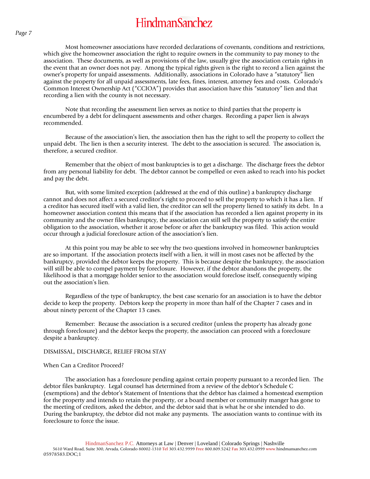Most homeowner associations have recorded declarations of covenants, conditions and restrictions, which give the homeowner association the right to require owners in the community to pay money to the association. These documents, as well as provisions of the law, usually give the association certain rights in the event that an owner does not pay. Among the typical rights given is the right to record a lien against the owner's property for unpaid assessments. Additionally, associations in Colorado have a "statutory" lien against the property for all unpaid assessments, late fees, fines, interest, attorney fees and costs. Colorado's Common Interest Ownership Act ("CCIOA") provides that association have this "statutory" lien and that recording a lien with the county is not necessary.

Note that recording the assessment lien serves as notice to third parties that the property is encumbered by a debt for delinquent assessments and other charges. Recording a paper lien is always recommended.

Because of the association's lien, the association then has the right to sell the property to collect the unpaid debt. The lien is then a security interest. The debt to the association is secured. The association is, therefore, a secured creditor.

Remember that the object of most bankruptcies is to get a discharge. The discharge frees the debtor from any personal liability for debt. The debtor cannot be compelled or even asked to reach into his pocket and pay the debt.

But, with some limited exception (addressed at the end of this outline) a bankruptcy discharge cannot and does not affect a secured creditor's right to proceed to sell the property to which it has a lien. If a creditor has secured itself with a valid lien, the creditor can sell the property liened to satisfy its debt. In a homeowner association context this means that if the association has recorded a lien against property in its community and the owner files bankruptcy, the association can still sell the property to satisfy the entire obligation to the association, whether it arose before or after the bankruptcy was filed. This action would occur through a judicial foreclosure action of the association's lien.

At this point you may be able to see why the two questions involved in homeowner bankruptcies are so important. If the association protects itself with a lien, it will in most cases not be affected by the bankruptcy, provided the debtor keeps the property. This is because despite the bankruptcy, the association will still be able to compel payment by foreclosure. However, if the debtor abandons the property, the likelihood is that a mortgage holder senior to the association would foreclose itself, consequently wiping out the association's lien.

Regardless of the type of bankruptcy, the best case scenario for an association is to have the debtor decide to keep the property. Debtors keep the property in more than half of the Chapter 7 cases and in about ninety percent of the Chapter 13 cases.

Remember: Because the association is a secured creditor (unless the property has already gone through foreclosure) and the debtor keeps the property, the association can proceed with a foreclosure despite a bankruptcy.

#### DISMISSAL, DISCHARGE, RELIEF FROM STAY

#### When Can a Creditor Proceed?

The association has a foreclosure pending against certain property pursuant to a recorded lien. The debtor files bankruptcy. Legal counsel has determined from a review of the debtor's Schedule C (exemptions) and the debtor's Statement of Intentions that the debtor has claimed a homestead exemption for the property and intends to retain the property, or a board member or community manger has gone to the meeting of creditors, asked the debtor, and the debtor said that is what he or she intended to do. During the bankruptcy, the debtor did not make any payments. The association wants to continue with its foreclosure to force the issue.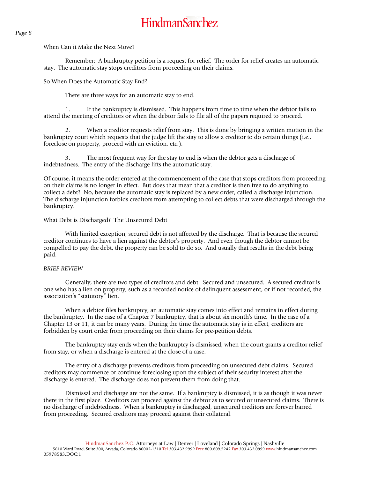*Page 8* 

### When Can it Make the Next Move?

Remember: A bankruptcy petition is a request for relief. The order for relief creates an automatic stay. The automatic stay stops creditors from proceeding on their claims.

So When Does the Automatic Stay End?

There are three ways for an automatic stay to end.

1. If the bankruptcy is dismissed. This happens from time to time when the debtor fails to attend the meeting of creditors or when the debtor fails to file all of the papers required to proceed.

2. When a creditor requests relief from stay. This is done by bringing a written motion in the bankruptcy court which requests that the judge lift the stay to allow a creditor to do certain things (i.e., foreclose on property, proceed with an eviction, etc.).

3. The most frequent way for the stay to end is when the debtor gets a discharge of indebtedness. The entry of the discharge lifts the automatic stay.

Of course, it means the order entered at the commencement of the case that stops creditors from proceeding on their claims is no longer in effect. But does that mean that a creditor is then free to do anything to collect a debt? No, because the automatic stay is replaced by a new order, called a discharge injunction. The discharge injunction forbids creditors from attempting to collect debts that were discharged through the bankruptcy.

### What Debt is Discharged? The Unsecured Debt

With limited exception, secured debt is not affected by the discharge. That is because the secured creditor continues to have a lien against the debtor's property. And even though the debtor cannot be compelled to pay the debt, the property can be sold to do so. And usually that results in the debt being paid.

### *BRIEF REVIEW*

Generally, there are two types of creditors and debt: Secured and unsecured. A secured creditor is one who has a lien on property, such as a recorded notice of delinquent assessment, or if not recorded, the association's "statutory" lien.

When a debtor files bankruptcy, an automatic stay comes into effect and remains in effect during the bankruptcy. In the case of a Chapter 7 bankruptcy, that is about six month's time. In the case of a Chapter 13 or 11, it can be many years. During the time the automatic stay is in effect, creditors are forbidden by court order from proceeding on their claims for pre-petition debts.

The bankruptcy stay ends when the bankruptcy is dismissed, when the court grants a creditor relief from stay, or when a discharge is entered at the close of a case.

The entry of a discharge prevents creditors from proceeding on unsecured debt claims. Secured creditors may commence or continue foreclosing upon the subject of their security interest after the discharge is entered. The discharge does not prevent them from doing that.

Dismissal and discharge are not the same. If a bankruptcy is dismissed, it is as though it was never there in the first place. Creditors can proceed against the debtor as to secured or unsecured claims. There is no discharge of indebtedness. When a bankruptcy is discharged, unsecured creditors are forever barred from proceeding. Secured creditors may proceed against their collateral.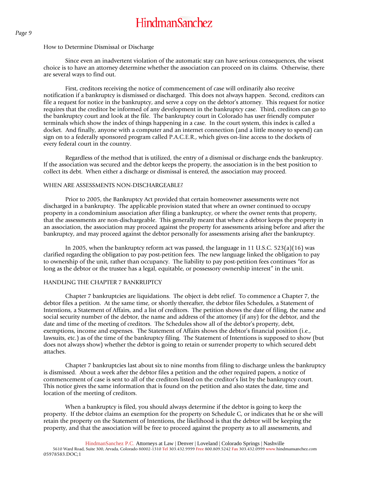### How to Determine Dismissal or Discharge

Since even an inadvertent violation of the automatic stay can have serious consequences, the wisest choice is to have an attorney determine whether the association can proceed on its claims. Otherwise, there are several ways to find out.

First, creditors receiving the notice of commencement of case will ordinarily also receive notification if a bankruptcy is dismissed or discharged. This does not always happen. Second, creditors can file a request for notice in the bankruptcy, and serve a copy on the debtor's attorney. This request for notice requires that the creditor be informed of any development in the bankruptcy case. Third, creditors can go to the bankruptcy court and look at the file. The bankruptcy court in Colorado has user friendly computer terminals which show the index of things happening in a case. In the court system, this index is called a docket. And finally, anyone with a computer and an internet connection (and a little money to spend) can sign on to a federally sponsored program called P.A.C.E.R., which gives on-line access to the dockets of every federal court in the country.

Regardless of the method that is utilized, the entry of a dismissal or discharge ends the bankruptcy. If the association was secured and the debtor keeps the property, the association is in the best position to collect its debt. When either a discharge or dismissal is entered, the association may proceed.

### WHEN ARE ASSESSMENTS NON-DISCHARGEABLE?

Prior to 2005, the Bankruptcy Act provided that certain homeowner assessments were not discharged in a bankruptcy. The applicable provision stated that where an owner continued to occupy property in a condominium association after filing a bankruptcy, or where the owner rents that property, that the assessments are non-dischargeable. This generally meant that where a debtor keeps the property in an association, the association may proceed against the property for assessments arising before and after the bankruptcy, and may proceed against the debtor personally for assessments arising after the bankruptcy.

In 2005, when the bankruptcy reform act was passed, the language in 11 U.S.C.  $523(a)(16)$  was clarified regarding the obligation to pay post-petition fees. The new language linked the obligation to pay to ownership of the unit, rather than occupancy. The liability to pay post-petition fees continues "for as long as the debtor or the trustee has a legal, equitable, or possessory ownership interest" in the unit.

### HANDLING THE CHAPTER 7 BANKRUPTCY

Chapter 7 bankruptcies are liquidations. The object is debt relief. To commence a Chapter 7, the debtor files a petition. At the same time, or shortly thereafter, the debtor files Schedules, a Statement of Intentions, a Statement of Affairs, and a list of creditors. The petition shows the date of filing, the name and social security number of the debtor, the name and address of the attorney (if any) for the debtor, and the date and time of the meeting of creditors. The Schedules show all of the debtor's property, debt, exemptions, income and expenses. The Statement of Affairs shows the debtor's financial position (i.e., lawsuits, etc.) as of the time of the bankruptcy filing. The Statement of Intentions is supposed to show (but does not always show) whether the debtor is going to retain or surrender property to which secured debt attaches.

Chapter 7 bankruptcies last about six to nine months from filing to discharge unless the bankruptcy is dismissed. About a week after the debtor files a petition and the other required papers, a notice of commencement of case is sent to all of the creditors listed on the creditor's list by the bankruptcy court. This notice gives the same information that is found on the petition and also states the date, time and location of the meeting of creditors.

When a bankruptcy is filed, you should always determine if the debtor is going to keep the property. If the debtor claims an exemption for the property on Schedule C, or indicates that he or she will retain the property on the Statement of Intentions, the likelihood is that the debtor will be keeping the property, and that the association will be free to proceed against the property as to all assessments, and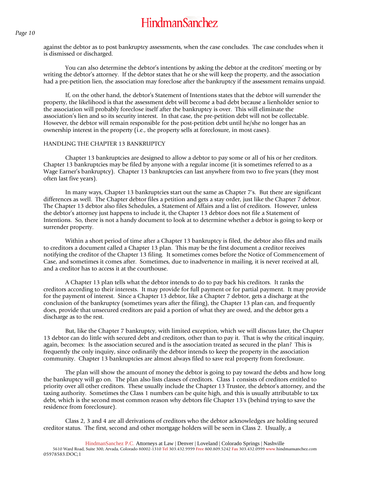against the debtor as to post bankruptcy assessments, when the case concludes. The case concludes when it is dismissed or discharged.

You can also determine the debtor's intentions by asking the debtor at the creditors' meeting or by writing the debtor's attorney. If the debtor states that he or she will keep the property, and the association had a pre-petition lien, the association may foreclose after the bankruptcy if the assessment remains unpaid.

If, on the other hand, the debtor's Statement of Intentions states that the debtor will surrender the property, the likelihood is that the assessment debt will become a bad debt because a lienholder senior to the association will probably foreclose itself after the bankruptcy is over. This will eliminate the association's lien and so its security interest. In that case, the pre-petition debt will not be collectable. However, the debtor will remain responsible for the post-petition debt until he/she no longer has an ownership interest in the property (i.e., the property sells at foreclosure, in most cases).

#### HANDLING THE CHAPTER 13 BANKRUPTCY

Chapter 13 bankruptcies are designed to allow a debtor to pay some or all of his or her creditors. Chapter 13 bankruptcies may be filed by anyone with a regular income (it is sometimes referred to as a Wage Earner's bankruptcy). Chapter 13 bankruptcies can last anywhere from two to five years (they most often last five years).

In many ways, Chapter 13 bankruptcies start out the same as Chapter 7's. But there are significant differences as well. The Chapter debtor files a petition and gets a stay order, just like the Chapter 7 debtor. The Chapter 13 debtor also files Schedules, a Statement of Affairs and a list of creditors. However, unless the debtor's attorney just happens to include it, the Chapter 13 debtor does not file a Statement of Intentions. So, there is not a handy document to look at to determine whether a debtor is going to keep or surrender property.

Within a short period of time after a Chapter 13 bankruptcy is filed, the debtor also files and mails to creditors a document called a Chapter 13 plan. This may be the first document a creditor receives notifying the creditor of the Chapter 13 filing. It sometimes comes before the Notice of Commencement of Case, and sometimes it comes after. Sometimes, due to inadvertence in mailing, it is never received at all, and a creditor has to access it at the courthouse.

A Chapter 13 plan tells what the debtor intends to do to pay back his creditors. It ranks the creditors according to their interests. It may provide for full payment or for partial payment. It may provide for the payment of interest. Since a Chapter 13 debtor, like a Chapter 7 debtor, gets a discharge at the conclusion of the bankruptcy (sometimes years after the filing), the Chapter 13 plan can, and frequently does, provide that unsecured creditors are paid a portion of what they are owed, and the debtor gets a discharge as to the rest.

But, like the Chapter 7 bankruptcy, with limited exception, which we will discuss later, the Chapter 13 debtor can do little with secured debt and creditors, other than to pay it. That is why the critical inquiry, again, becomes: Is the association secured and is the association treated as secured in the plan? This is frequently the only inquiry, since ordinarily the debtor intends to keep the property in the association community. Chapter 13 bankruptcies are almost always filed to save real property from foreclosure.

The plan will show the amount of money the debtor is going to pay toward the debts and how long the bankruptcy will go on. The plan also lists classes of creditors. Class 1 consists of creditors entitled to priority over all other creditors. These usually include the Chapter 13 Trustee, the debtor's attorney, and the taxing authority. Sometimes the Class 1 numbers can be quite high, and this is usually attributable to tax debt, which is the second most common reason why debtors file Chapter 13's (behind trying to save the residence from foreclosure).

Class 2, 3 and 4 are all derivations of creditors who the debtor acknowledges are holding secured creditor status. The first, second and other mortgage holders will be seen in Class 2. Usually, a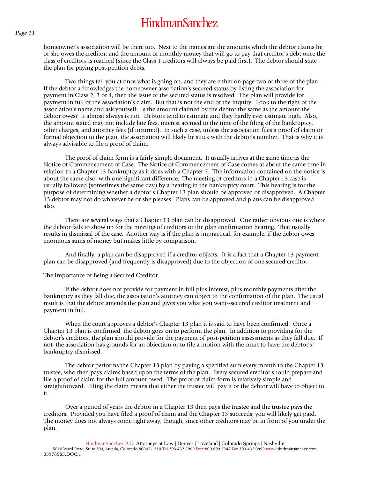homeowner's association will be there too. Next to the names are the amounts which the debtor claims he or she owes the creditor, and the amount of monthly money that will go to pay that creditor's debt once the class of creditors is reached (since the Class 1 creditors will always be paid first). The debtor should state the plan for paying post-petition debts.

Two things tell you at once what is going on, and they are either on page two or three of the plan. If the debtor acknowledges the homeowner association's secured status by listing the association for payment in Class 2, 3 or 4, then the issue of the secured status is resolved. The plan will provide for payment in full of the association's claim. But that is not the end of the inquiry. Look to the right of the association's name and ask yourself: Is the amount claimed by the debtor the same as the amount the debtor owes? It almost always is not. Debtors tend to estimate and they hardly ever estimate high. Also, the amount stated may not include late fees, interest accrued to the time of the filing of the bankruptcy, other charges, and attorney fees (if incurred). In such a case, unless the association files a proof of claim or formal objection to the plan, the association will likely be stuck with the debtor's number. That is why it is always advisable to file a proof of claim.

The proof of claim form is a fairly simple document. It usually arrives at the same time as the Notice of Commencement of Case. The Notice of Commencement of Case comes at about the same time in relation to a Chapter 13 bankruptcy as it does with a Chapter 7. The information contained on the notice is about the same also, with one significant difference: The meeting of creditors in a Chapter 13 case is usually followed (sometimes the same day) by a hearing in the bankruptcy court. This hearing is for the purpose of determining whether a debtor's Chapter 13 plan should be approved or disapproved. A Chapter 13 debtor may not do whatever he or she pleases. Plans can be approved and plans can be disapproved also.

There are several ways that a Chapter 13 plan can be disapproved. One rather obvious one is where the debtor fails to show up for the meeting of creditors or the plan confirmation hearing. That usually results in dismissal of the case. Another way is if the plan is impractical, for example, if the debtor owes enormous sums of money but makes little by comparison.

And finally, a plan can be disapproved if a creditor objects. It is a fact that a Chapter 13 payment plan can be disapproved (and frequently is disapproved) due to the objection of one secured creditor.

#### The Importance of Being a Secured Creditor

If the debtor does not provide for payment in full plus interest, plus monthly payments after the bankruptcy as they fall due, the association's attorney can object to the confirmation of the plan. The usual result is that the debtor amends the plan and gives you what you want--secured creditor treatment and payment in full.

When the court approves a debtor's Chapter 13 plan it is said to have been confirmed. Once a Chapter 13 plan is confirmed, the debtor goes on to perform the plan. In addition to providing for the debtor's creditors, the plan should provide for the payment of post-petition assessments as they fall due. If not, the association has grounds for an objection or to file a motion with the court to have the debtor's bankruptcy dismissed.

The debtor performs the Chapter 13 plan by paying a specified sum every month to the Chapter 13 trustee, who then pays claims based upon the terms of the plan. Every secured creditor should prepare and file a proof of claim for the full amount owed. The proof of claim form is relatively simple and straightforward. Filing the claim means that either the trustee will pay it or the debtor will have to object to it.

Over a period of years the debtor in a Chapter 13 then pays the trustee and the trustee pays the creditors. Provided you have filed a proof of claim and the Chapter 13 succeeds, you will likely get paid. The money does not always come right away, though, since other creditors may be in front of you under the plan.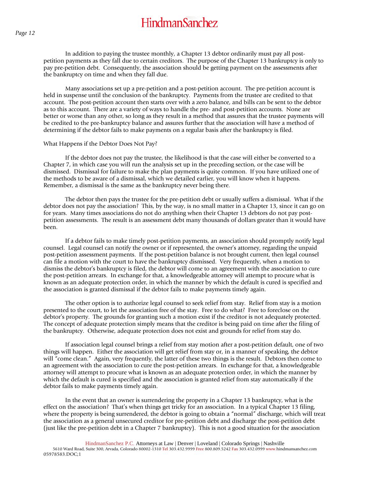In addition to paying the trustee monthly, a Chapter 13 debtor ordinarily must pay all postpetition payments as they fall due to certain creditors. The purpose of the Chapter 13 bankruptcy is only to pay pre-petition debt. Consequently, the association should be getting payment on the assessments after the bankruptcy on time and when they fall due.

Many associations set up a pre-petition and a post-petition account. The pre-petition account is held in suspense until the conclusion of the bankruptcy. Payments from the trustee are credited to that account. The post-petition account then starts over with a zero balance, and bills can be sent to the debtor as to this account. There are a variety of ways to handle the pre- and post-petition accounts. None are better or worse than any other, so long as they result in a method that assures that the trustee payments will be credited to the pre-bankruptcy balance and assures further that the association will have a method of determining if the debtor fails to make payments on a regular basis after the bankruptcy is filed.

#### What Happens if the Debtor Does Not Pay?

If the debtor does not pay the trustee, the likelihood is that the case will either be converted to a Chapter 7, in which case you will run the analysis set up in the preceding section, or the case will be dismissed. Dismissal for failure to make the plan payments is quite common. If you have utilized one of the methods to be aware of a dismissal, which we detailed earlier, you will know when it happens. Remember, a dismissal is the same as the bankruptcy never being there.

The debtor then pays the trustee for the pre-petition debt or usually suffers a dismissal. What if the debtor does not pay the association? This, by the way, is no small matter in a Chapter 13, since it can go on for years. Many times associations do not do anything when their Chapter 13 debtors do not pay postpetition assessments. The result is an assessment debt many thousands of dollars greater than it would have been.

If a debtor fails to make timely post-petition payments, an association should promptly notify legal counsel. Legal counsel can notify the owner or if represented, the owner's attorney, regarding the unpaid post-petition assessment payments. If the post-petition balance is not brought current, then legal counsel can file a motion with the court to have the bankruptcy dismissed. Very frequently, when a motion to dismiss the debtor's bankruptcy is filed, the debtor will come to an agreement with the association to cure the post-petition arrears. In exchange for that, a knowledgeable attorney will attempt to procure what is known as an adequate protection order, in which the manner by which the default is cured is specified and the association is granted dismissal if the debtor fails to make payments timely again.

The other option is to authorize legal counsel to seek relief from stay. Relief from stay is a motion presented to the court, to let the association free of the stay. Free to do what? Free to foreclose on the debtor's property. The grounds for granting such a motion exist if the creditor is not adequately protected. The concept of adequate protection simply means that the creditor is being paid on time after the filing of the bankruptcy. Otherwise, adequate protection does not exist and grounds for relief from stay do.

If association legal counsel brings a relief from stay motion after a post-petition default, one of two things will happen. Either the association will get relief from stay or, in a manner of speaking, the debtor will "come clean." Again, very frequently, the latter of these two things is the result. Debtors then come to an agreement with the association to cure the post-petition arrears. In exchange for that, a knowledgeable attorney will attempt to procure what is known as an adequate protection order, in which the manner by which the default is cured is specified and the association is granted relief from stay automatically if the debtor fails to make payments timely again.

In the event that an owner is surrendering the property in a Chapter 13 bankruptcy, what is the effect on the association? That's when things get tricky for an association. In a typical Chapter 13 filing, where the property is being surrendered, the debtor is going to obtain a "normal" discharge, which will treat the association as a general unsecured creditor for pre-petition debt and discharge the post-petition debt (just like the pre-petition debt in a Chapter 7 bankruptcy). This is not a good situation for the association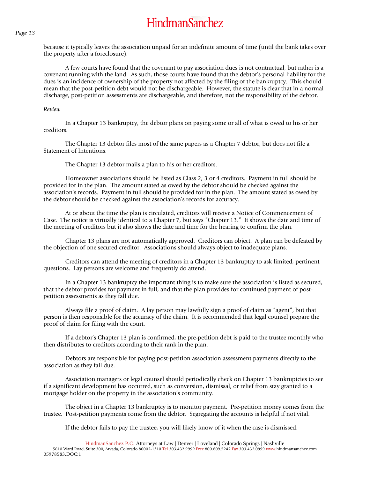because it typically leaves the association unpaid for an indefinite amount of time (until the bank takes over the property after a foreclosure).

A few courts have found that the covenant to pay association dues is not contractual, but rather is a covenant running with the land. As such, those courts have found that the debtor's personal liability for the dues is an incidence of ownership of the property not affected by the filing of the bankruptcy. This should mean that the post-petition debt would not be dischargeable. However, the statute is clear that in a normal discharge, post-petition assessments are dischargeable, and therefore, not the responsibility of the debtor.

#### *Review*

In a Chapter 13 bankruptcy, the debtor plans on paying some or all of what is owed to his or her creditors.

The Chapter 13 debtor files most of the same papers as a Chapter 7 debtor, but does not file a Statement of Intentions.

The Chapter 13 debtor mails a plan to his or her creditors.

Homeowner associations should be listed as Class 2, 3 or 4 creditors. Payment in full should be provided for in the plan. The amount stated as owed by the debtor should be checked against the association's records. Payment in full should be provided for in the plan. The amount stated as owed by the debtor should be checked against the association's records for accuracy.

At or about the time the plan is circulated, creditors will receive a Notice of Commencement of Case. The notice is virtually identical to a Chapter 7, but says "Chapter 13." It shows the date and time of the meeting of creditors but it also shows the date and time for the hearing to confirm the plan.

Chapter 13 plans are not automatically approved. Creditors can object. A plan can be defeated by the objection of one secured creditor. Associations should always object to inadequate plans.

Creditors can attend the meeting of creditors in a Chapter 13 bankruptcy to ask limited, pertinent questions. Lay persons are welcome and frequently do attend.

In a Chapter 13 bankruptcy the important thing is to make sure the association is listed as secured, that the debtor provides for payment in full, and that the plan provides for continued payment of postpetition assessments as they fall due.

Always file a proof of claim. A lay person may lawfully sign a proof of claim as "agent", but that person is then responsible for the accuracy of the claim. It is recommended that legal counsel prepare the proof of claim for filing with the court.

If a debtor's Chapter 13 plan is confirmed, the pre-petition debt is paid to the trustee monthly who then distributes to creditors according to their rank in the plan.

Debtors are responsible for paying post-petition association assessment payments directly to the association as they fall due.

Association managers or legal counsel should periodically check on Chapter 13 bankruptcies to see if a significant development has occurred, such as conversion, dismissal, or relief from stay granted to a mortgage holder on the property in the association's community.

The object in a Chapter 13 bankruptcy is to monitor payment. Pre-petition money comes from the trustee. Post-petition payments come from the debtor. Segregating the accounts is helpful if not vital.

If the debtor fails to pay the trustee, you will likely know of it when the case is dismissed.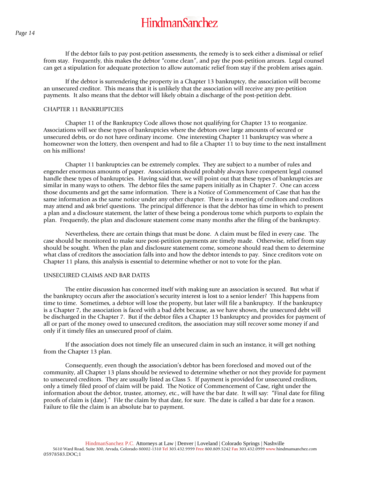If the debtor fails to pay post-petition assessments, the remedy is to seek either a dismissal or relief from stay. Frequently, this makes the debtor "come clean", and pay the post-petition arrears. Legal counsel can get a stipulation for adequate protection to allow automatic relief from stay if the problem arises again.

If the debtor is surrendering the property in a Chapter 13 bankruptcy, the association will become an unsecured creditor. This means that it is unlikely that the association will receive any pre-petition payments. It also means that the debtor will likely obtain a discharge of the post-petition debt.

#### CHAPTER 11 BANKRUPTCIES

Chapter 11 of the Bankruptcy Code allows those not qualifying for Chapter 13 to reorganize. Associations will see these types of bankruptcies where the debtors owe large amounts of secured or unsecured debts, or do not have ordinary income. One interesting Chapter 11 bankruptcy was where a homeowner won the lottery, then overspent and had to file a Chapter 11 to buy time to the next installment on his millions!

Chapter 11 bankruptcies can be extremely complex. They are subject to a number of rules and engender enormous amounts of paper. Associations should probably always have competent legal counsel handle these types of bankruptcies. Having said that, we will point out that these types of bankruptcies are similar in many ways to others. The debtor files the same papers initially as in Chapter 7. One can access those documents and get the same information. There is a Notice of Commencement of Case that has the same information as the same notice under any other chapter. There is a meeting of creditors and creditors may attend and ask brief questions. The principal difference is that the debtor has time in which to present a plan and a disclosure statement, the latter of these being a ponderous tome which purports to explain the plan. Frequently, the plan and disclosure statement come many months after the filing of the bankruptcy.

Nevertheless, there are certain things that must be done. A claim must be filed in every case. The case should be monitored to make sure post-petition payments are timely made. Otherwise, relief from stay should be sought. When the plan and disclosure statement come, someone should read them to determine what class of creditors the association falls into and how the debtor intends to pay. Since creditors vote on Chapter 11 plans, this analysis is essential to determine whether or not to vote for the plan.

#### UNSECURED CLAIMS AND BAR DATES

The entire discussion has concerned itself with making sure an association is secured. But what if the bankruptcy occurs after the association's security interest is lost to a senior lender? This happens from time to time. Sometimes, a debtor will lose the property, but later will file a bankruptcy. If the bankruptcy is a Chapter 7, the association is faced with a bad debt because, as we have shown, the unsecured debt will be discharged in the Chapter 7. But if the debtor files a Chapter 13 bankruptcy and provides for payment of all or part of the money owed to unsecured creditors, the association may still recover some money if and only if it timely files an unsecured proof of claim.

If the association does not timely file an unsecured claim in such an instance, it will get nothing from the Chapter 13 plan.

Consequently, even though the association's debtor has been foreclosed and moved out of the community, all Chapter 13 plans should be reviewed to determine whether or not they provide for payment to unsecured creditors. They are usually listed as Class 5. If payment is provided for unsecured creditors, only a timely filed proof of claim will be paid. The Notice of Commencement of Case, right under the information about the debtor, trustee, attorney, etc., will have the bar date. It will say: "Final date for filing proofs of claim is (date)." File the claim by that date, for sure. The date is called a bar date for a reason. Failure to file the claim is an absolute bar to payment.